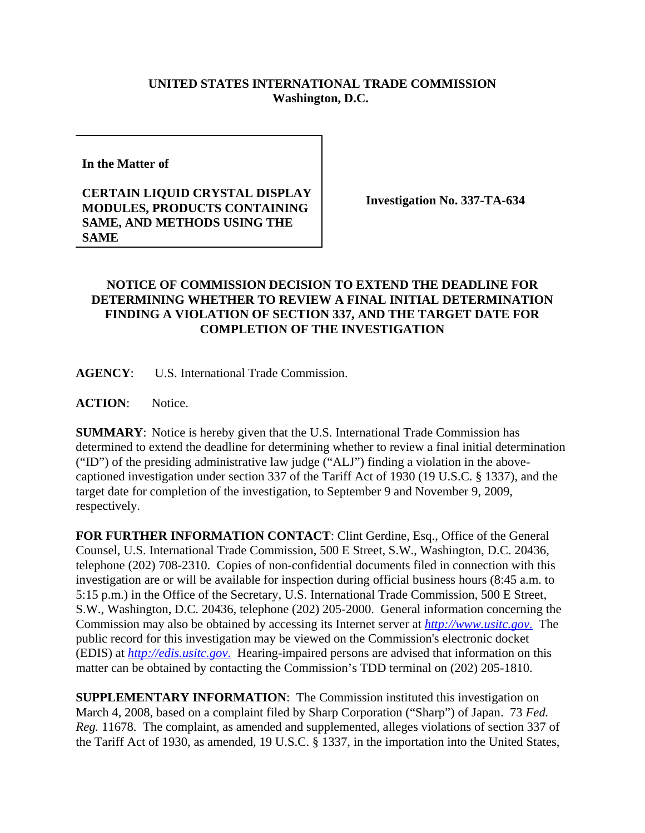## **UNITED STATES INTERNATIONAL TRADE COMMISSION Washington, D.C.**

**In the Matter of** 

## **CERTAIN LIQUID CRYSTAL DISPLAY MODULES, PRODUCTS CONTAINING SAME, AND METHODS USING THE SAME**

**Investigation No. 337-TA-634**

## **NOTICE OF COMMISSION DECISION TO EXTEND THE DEADLINE FOR DETERMINING WHETHER TO REVIEW A FINAL INITIAL DETERMINATION FINDING A VIOLATION OF SECTION 337, AND THE TARGET DATE FOR COMPLETION OF THE INVESTIGATION**

**AGENCY**: U.S. International Trade Commission.

**ACTION**: Notice.

**SUMMARY**: Notice is hereby given that the U.S. International Trade Commission has determined to extend the deadline for determining whether to review a final initial determination ("ID") of the presiding administrative law judge ("ALJ") finding a violation in the abovecaptioned investigation under section 337 of the Tariff Act of 1930 (19 U.S.C. § 1337), and the target date for completion of the investigation, to September 9 and November 9, 2009, respectively.

**FOR FURTHER INFORMATION CONTACT**: Clint Gerdine, Esq., Office of the General Counsel, U.S. International Trade Commission, 500 E Street, S.W., Washington, D.C. 20436, telephone (202) 708-2310. Copies of non-confidential documents filed in connection with this investigation are or will be available for inspection during official business hours (8:45 a.m. to 5:15 p.m.) in the Office of the Secretary, U.S. International Trade Commission, 500 E Street, S.W., Washington, D.C. 20436, telephone (202) 205-2000. General information concerning the Commission may also be obtained by accessing its Internet server at *http://www.usitc.gov*. The public record for this investigation may be viewed on the Commission's electronic docket (EDIS) at *http://edis.usitc.gov*. Hearing-impaired persons are advised that information on this matter can be obtained by contacting the Commission's TDD terminal on (202) 205-1810.

**SUPPLEMENTARY INFORMATION:** The Commission instituted this investigation on March 4, 2008, based on a complaint filed by Sharp Corporation ("Sharp") of Japan. 73 *Fed. Reg.* 11678. The complaint, as amended and supplemented, alleges violations of section 337 of the Tariff Act of 1930, as amended, 19 U.S.C. § 1337, in the importation into the United States,